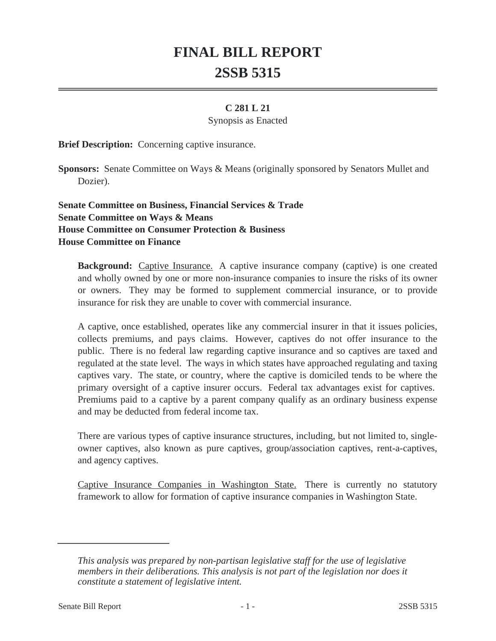# **FINAL BILL REPORT 2SSB 5315**

## **C 281 L 21**

#### Synopsis as Enacted

**Brief Description:** Concerning captive insurance.

**Sponsors:** Senate Committee on Ways & Means (originally sponsored by Senators Mullet and Dozier).

# **Senate Committee on Business, Financial Services & Trade Senate Committee on Ways & Means House Committee on Consumer Protection & Business House Committee on Finance**

**Background:** Captive Insurance. A captive insurance company (captive) is one created and wholly owned by one or more non-insurance companies to insure the risks of its owner or owners. They may be formed to supplement commercial insurance, or to provide insurance for risk they are unable to cover with commercial insurance.

A captive, once established, operates like any commercial insurer in that it issues policies, collects premiums, and pays claims. However, captives do not offer insurance to the public. There is no federal law regarding captive insurance and so captives are taxed and regulated at the state level. The ways in which states have approached regulating and taxing captives vary. The state, or country, where the captive is domiciled tends to be where the primary oversight of a captive insurer occurs. Federal tax advantages exist for captives. Premiums paid to a captive by a parent company qualify as an ordinary business expense and may be deducted from federal income tax.

There are various types of captive insurance structures, including, but not limited to, singleowner captives, also known as pure captives, group/association captives, rent-a-captives, and agency captives.

Captive Insurance Companies in Washington State. There is currently no statutory framework to allow for formation of captive insurance companies in Washington State.

*This analysis was prepared by non-partisan legislative staff for the use of legislative members in their deliberations. This analysis is not part of the legislation nor does it constitute a statement of legislative intent.*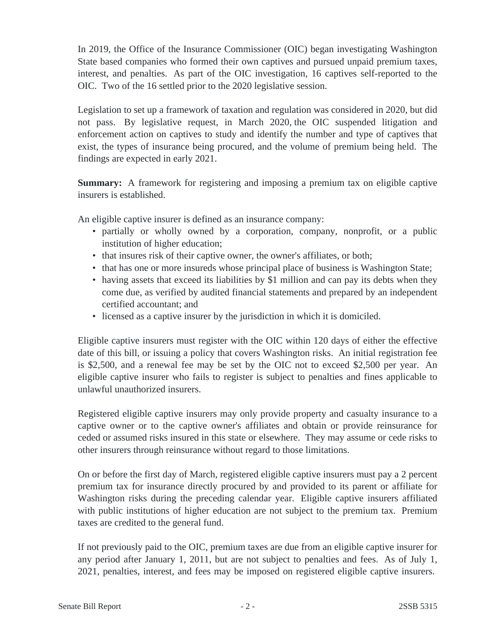In 2019, the Office of the Insurance Commissioner (OIC) began investigating Washington State based companies who formed their own captives and pursued unpaid premium taxes, interest, and penalties. As part of the OIC investigation, 16 captives self-reported to the OIC. Two of the 16 settled prior to the 2020 legislative session.

Legislation to set up a framework of taxation and regulation was considered in 2020, but did not pass. By legislative request, in March 2020, the OIC suspended litigation and enforcement action on captives to study and identify the number and type of captives that exist, the types of insurance being procured, and the volume of premium being held. The findings are expected in early 2021.

**Summary:** A framework for registering and imposing a premium tax on eligible captive insurers is established.

An eligible captive insurer is defined as an insurance company:

- partially or wholly owned by a corporation, company, nonprofit, or a public institution of higher education;
- that insures risk of their captive owner, the owner's affiliates, or both;
- that has one or more insureds whose principal place of business is Washington State;
- having assets that exceed its liabilities by \$1 million and can pay its debts when they come due, as verified by audited financial statements and prepared by an independent certified accountant; and
- licensed as a captive insurer by the jurisdiction in which it is domiciled.

Eligible captive insurers must register with the OIC within 120 days of either the effective date of this bill, or issuing a policy that covers Washington risks. An initial registration fee is \$2,500, and a renewal fee may be set by the OIC not to exceed \$2,500 per year. An eligible captive insurer who fails to register is subject to penalties and fines applicable to unlawful unauthorized insurers.

Registered eligible captive insurers may only provide property and casualty insurance to a captive owner or to the captive owner's affiliates and obtain or provide reinsurance for ceded or assumed risks insured in this state or elsewhere. They may assume or cede risks to other insurers through reinsurance without regard to those limitations.

On or before the first day of March, registered eligible captive insurers must pay a 2 percent premium tax for insurance directly procured by and provided to its parent or affiliate for Washington risks during the preceding calendar year. Eligible captive insurers affiliated with public institutions of higher education are not subject to the premium tax. Premium taxes are credited to the general fund.

If not previously paid to the OIC, premium taxes are due from an eligible captive insurer for any period after January 1, 2011, but are not subject to penalties and fees. As of July 1, 2021, penalties, interest, and fees may be imposed on registered eligible captive insurers.